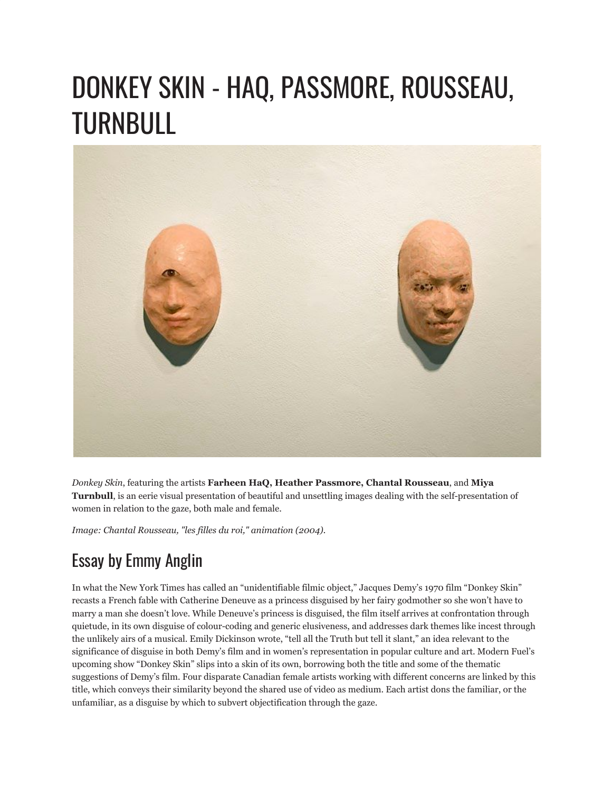## DONKEY SKIN - HAQ, PASSMORE, ROUSSEAU, TURNBULL



*Donkey Skin*, featuring the artists **Farheen HaQ, Heather Passmore, Chantal Rousseau**, and **Miya Turnbull**, is an eerie visual presentation of beautiful and unsettling images dealing with the self-presentation of women in relation to the gaze, both male and female.

*Image: Chantal Rousseau, "les filles du roi," animation (2004).*

## Essay by Emmy Anglin

In what the New York Times has called an "unidentifiable filmic object," Jacques Demy's 1970 film "Donkey Skin" recasts a French fable with Catherine Deneuve as a princess disguised by her fairy godmother so she won't have to marry a man she doesn't love. While Deneuve's princess is disguised, the film itself arrives at confrontation through quietude, in its own disguise of colour-coding and generic elusiveness, and addresses dark themes like incest through the unlikely airs of a musical. Emily Dickinson wrote, "tell all the Truth but tell it slant," an idea relevant to the significance of disguise in both Demy's film and in women's representation in popular culture and art. Modern Fuel's upcoming show "Donkey Skin" slips into a skin of its own, borrowing both the title and some of the thematic suggestions of Demy's film. Four disparate Canadian female artists working with different concerns are linked by this title, which conveys their similarity beyond the shared use of video as medium. Each artist dons the familiar, or the unfamiliar, as a disguise by which to subvert objectification through the gaze.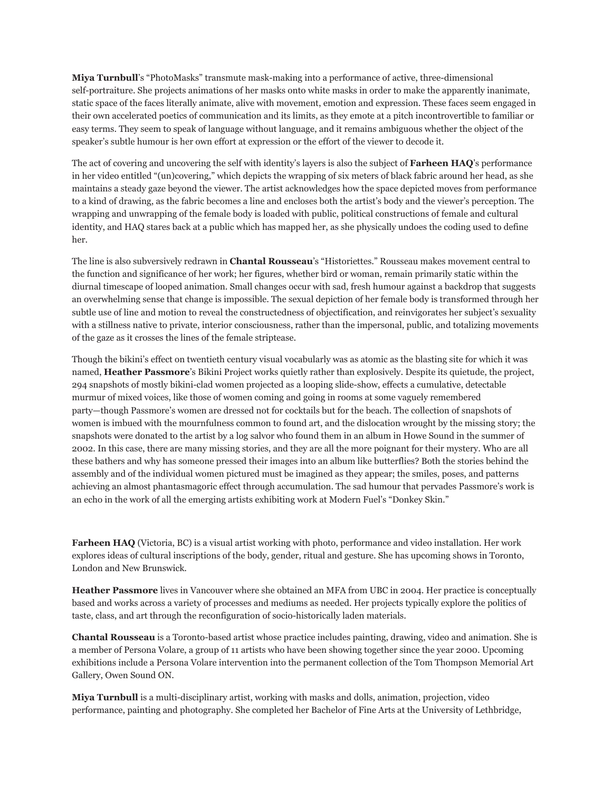**Miya Turnbull**'s "PhotoMasks" transmute mask-making into a performance of active, three-dimensional self-portraiture. She projects animations of her masks onto white masks in order to make the apparently inanimate, static space of the faces literally animate, alive with movement, emotion and expression. These faces seem engaged in their own accelerated poetics of communication and its limits, as they emote at a pitch incontrovertible to familiar or easy terms. They seem to speak of language without language, and it remains ambiguous whether the object of the speaker's subtle humour is her own effort at expression or the effort of the viewer to decode it.

The act of covering and uncovering the self with identity's layers is also the subject of **Farheen HAQ**'s performance in her video entitled "(un)covering," which depicts the wrapping of six meters of black fabric around her head, as she maintains a steady gaze beyond the viewer. The artist acknowledges how the space depicted moves from performance to a kind of drawing, as the fabric becomes a line and encloses both the artist's body and the viewer's perception. The wrapping and unwrapping of the female body is loaded with public, political constructions of female and cultural identity, and HAQ stares back at a public which has mapped her, as she physically undoes the coding used to define her.

The line is also subversively redrawn in **Chantal Rousseau**'s "Historiettes." Rousseau makes movement central to the function and significance of her work; her figures, whether bird or woman, remain primarily static within the diurnal timescape of looped animation. Small changes occur with sad, fresh humour against a backdrop that suggests an overwhelming sense that change is impossible. The sexual depiction of her female body is transformed through her subtle use of line and motion to reveal the constructedness of objectification, and reinvigorates her subject's sexuality with a stillness native to private, interior consciousness, rather than the impersonal, public, and totalizing movements of the gaze as it crosses the lines of the female striptease.

Though the bikini's effect on twentieth century visual vocabularly was as atomic as the blasting site for which it was named, **Heather Passmore**'s Bikini Project works quietly rather than explosively. Despite its quietude, the project, 294 snapshots of mostly bikini-clad women projected as a looping slide-show, effects a cumulative, detectable murmur of mixed voices, like those of women coming and going in rooms at some vaguely remembered party—though Passmore's women are dressed not for cocktails but for the beach. The collection of snapshots of women is imbued with the mournfulness common to found art, and the dislocation wrought by the missing story; the snapshots were donated to the artist by a log salvor who found them in an album in Howe Sound in the summer of 2002. In this case, there are many missing stories, and they are all the more poignant for their mystery. Who are all these bathers and why has someone pressed their images into an album like butterflies? Both the stories behind the assembly and of the individual women pictured must be imagined as they appear; the smiles, poses, and patterns achieving an almost phantasmagoric effect through accumulation. The sad humour that pervades Passmore's work is an echo in the work of all the emerging artists exhibiting work at Modern Fuel's "Donkey Skin."

**Farheen HAQ** (Victoria, BC) is a visual artist working with photo, performance and video installation. Her work explores ideas of cultural inscriptions of the body, gender, ritual and gesture. She has upcoming shows in Toronto, London and New Brunswick.

**Heather Passmore** lives in Vancouver where she obtained an MFA from UBC in 2004. Her practice is conceptually based and works across a variety of processes and mediums as needed. Her projects typically explore the politics of taste, class, and art through the reconfiguration of socio-historically laden materials.

**Chantal Rousseau** is a Toronto-based artist whose practice includes painting, drawing, video and animation. She is a member of Persona Volare, a group of 11 artists who have been showing together since the year 2000. Upcoming exhibitions include a Persona Volare intervention into the permanent collection of the Tom Thompson Memorial Art Gallery, Owen Sound ON.

**Miya Turnbull** is a multi-disciplinary artist, working with masks and dolls, animation, projection, video performance, painting and photography. She completed her Bachelor of Fine Arts at the University of Lethbridge,